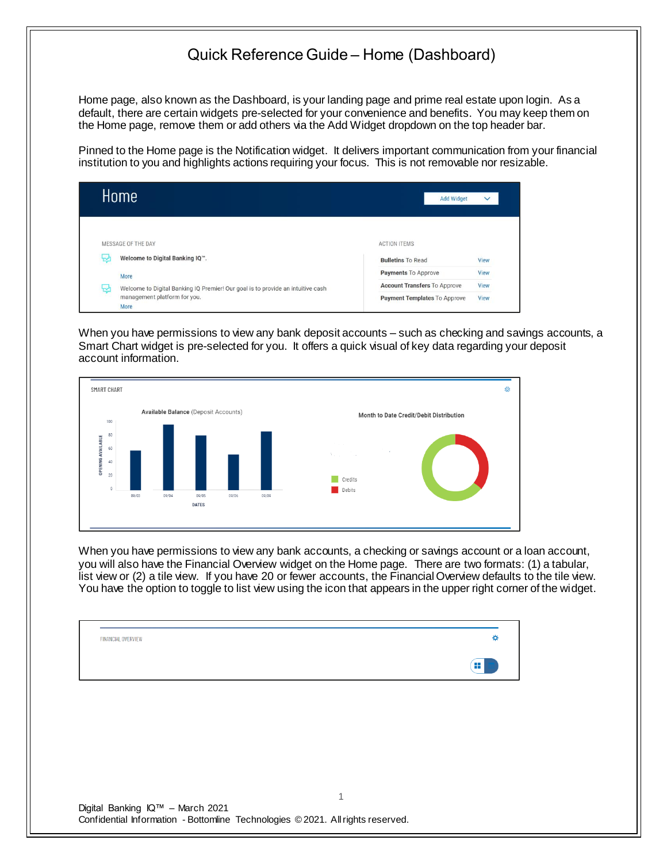## Quick Reference Guide – Home (Dashboard)

Home page, also known as the Dashboard, is your landing page and prime real estate upon login. As a default, there are certain widgets pre-selected for your convenience and benefits. You may keep them on the Home page, remove them or add others via the Add Widget dropdown on the top header bar.

Pinned to the Home page is the Notification widget. It delivers important communication from your financial institution to you and highlights actions requiring your focus. This is not removable nor resizable.

|   | Home                                                                            | <b>Add Widget</b>                   | $\checkmark$ |
|---|---------------------------------------------------------------------------------|-------------------------------------|--------------|
|   | MESSAGE OF THE DAY                                                              | <b>ACTION ITEMS</b>                 |              |
| 난 | Welcome to Digital Banking IQ".                                                 | <b>Bulletins To Read</b>            | View         |
|   | More                                                                            | Payments To Approve                 | View         |
| ₩ | Welcome to Digital Banking IQ Premier! Our goal is to provide an intuitive cash | <b>Account Transfers To Approve</b> | View         |
|   | management platform for you.<br>More                                            | Payment Templates To Approve        | View         |

When you have permissions to view any bank deposit accounts – such as checking and savings accounts, a Smart Chart widget is pre-selected for you. It offers a quick visual of key data regarding your deposit account information.



When you have permissions to view any bank accounts, a checking or savings account or a loan account, you will also have the Financial Overview widget on the Home page. There are two formats: (1) a tabular, list view or (2) a tile view. If you have 20 or fewer accounts, the Financial Overview defaults to the tile view. You have the option to toggle to list view using the icon that appears in the upper right corner of the widget.

1

|                    | ≕<br>. . |
|--------------------|----------|
| FINANCIAL OVERVIEW |          |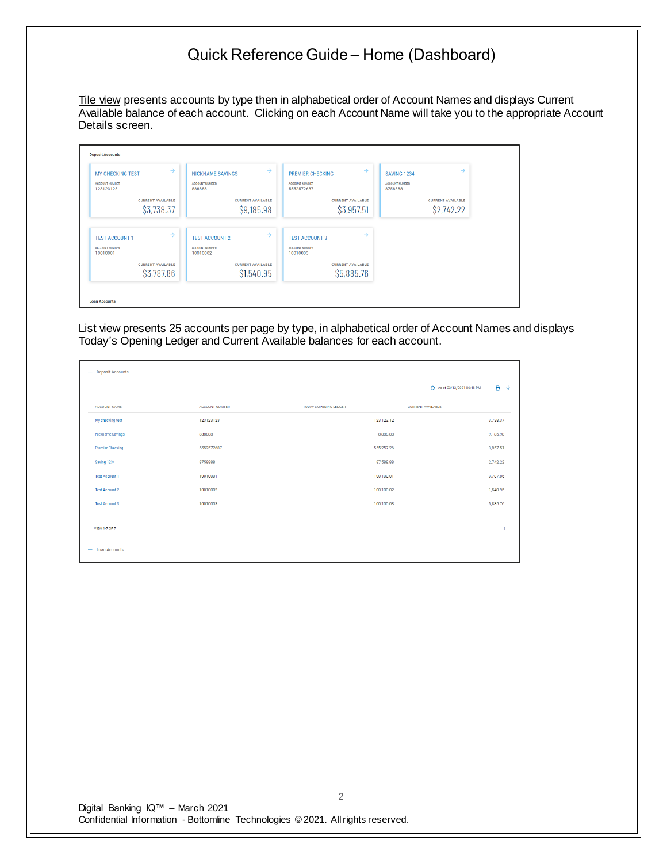## Quick Reference Guide – Home (Dashboard)

Tile view presents accounts by type then in alphabetical order of Account Names and displays Current Available balance of each account. Clicking on each Account Name will take you to the appropriate Account Details screen.

| $\rightarrow$            | $\rightarrow$            | $\rightarrow$            | $\rightarrow$            |
|--------------------------|--------------------------|--------------------------|--------------------------|
| <b>MY CHECKING TEST</b>  | <b>NICKNAME SAVINGS</b>  | <b>PREMIER CHECKING</b>  | <b>SAVING 1234</b>       |
| <b>ACCOUNT NUMBER</b>    | <b>ACCOUNT NUMBER</b>    | <b>ACCOUNT NUMBER</b>    | <b>ACCOUNT NUMBER</b>    |
| 123123123                | 888888                   | 5552572687               | 8758888                  |
| <b>CURRENT AVAILABLE</b> | <b>CURRENT AVAILABLE</b> | <b>CURRENT AVAILABLE</b> | <b>CURRENT AVAILABLE</b> |
| \$3,738.37               | \$9,185.98               | \$3,957.51               | \$2,742.22               |
| $\rightarrow$            | $\rightarrow$            | $\rightarrow$            |                          |
| <b>TEST ACCOUNT 1</b>    | <b>TEST ACCOUNT 2</b>    | <b>TEST ACCOUNT 3</b>    |                          |
| <b>ACCOUNT NUMBER</b>    | <b>ACCOUNT NUMBER</b>    | <b>ACCOUNT NUMBER</b>    |                          |
| 10010001                 | 10010002                 | 10010003                 |                          |
| <b>CURRENT AVAILABLE</b> | <b>CURRENT AVAILABLE</b> | <b>CURRENT AVAILABLE</b> |                          |
| \$3,787.86               | \$1,540.95               | \$5,885.76               |                          |

List view presents 25 accounts per page by type, in alphabetical order of Account Names and displays Today's Opening Ledger and Current Available balances for each account.

| $\overline{\phantom{m}}$ | <b>Deposit Accounts</b> |                       |                               |                             |              |
|--------------------------|-------------------------|-----------------------|-------------------------------|-----------------------------|--------------|
|                          |                         |                       |                               | + As of 03/12/2021 06:48 PM | e<br>一业      |
|                          | <b>ACCOUNT NAME</b>     | <b>ACCOUNT NUMBER</b> | <b>TODAY'S OPENING LEDGER</b> | <b>CURRENT AVAILABLE</b>    |              |
|                          | My checking test        | 123123123             | 123,123.12                    |                             | 3,738,37     |
|                          | Nickname Savings        | 888888                | 8,888.88                      |                             | 9,185.98     |
|                          | <b>Premier Checking</b> | 5552572687            | 555,257.26                    |                             | 3,957.51     |
|                          | Saving 1234             | 8758888               | 87,588.88                     |                             | 2,742.22     |
|                          | <b>Test Account 1</b>   | 10010001              | 100,100.01                    |                             | 3,787.86     |
|                          | <b>Test Account 2</b>   | 10010002              | 100,100.02                    |                             | 1,540.95     |
|                          | <b>Test Account 3</b>   | 10010003              | 100,100.03                    |                             | 5,885.76     |
|                          | VIEW 1-7 OF 7           |                       |                               |                             | $\mathbf{1}$ |
|                          | + Loan Accounts         |                       |                               |                             |              |

Digital Banking IQ™ – March 2021 Confidential Information - Bottomline Technologies © 2021. Allrights reserved.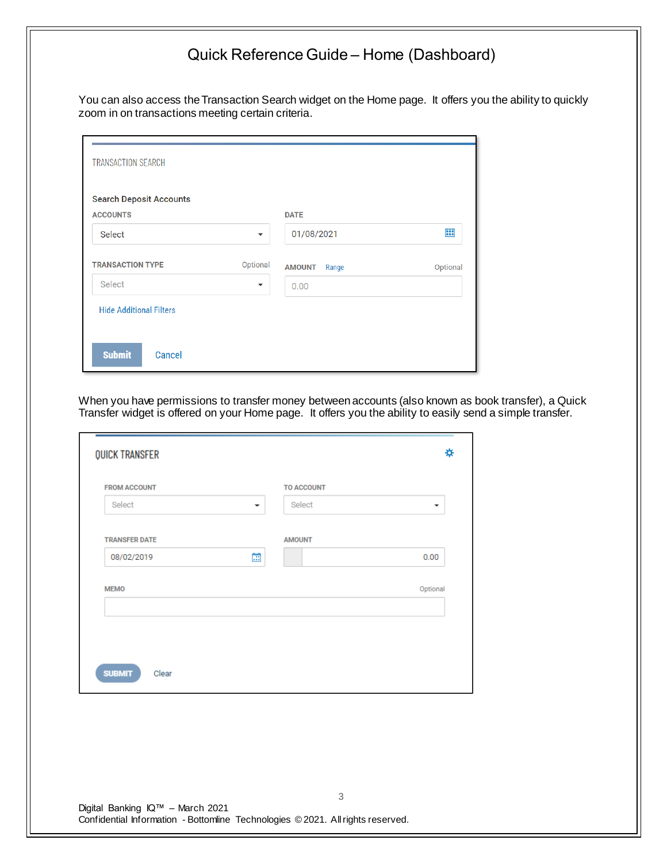## Quick Reference Guide – Home (Dashboard)

You can also access the Transaction Search widget on the Home page. It offers you the ability to quickly zoom in on transactions meeting certain criteria.

| <b>Search Deposit Accounts</b> |                          |               |       |          |
|--------------------------------|--------------------------|---------------|-------|----------|
| <b>ACCOUNTS</b>                |                          | <b>DATE</b>   |       |          |
| <b>Select</b>                  | $\overline{\phantom{a}}$ | 01/08/2021    |       | 藟        |
| <b>TRANSACTION TYPE</b>        | Optional                 | <b>AMOUNT</b> | Range | Optional |
| Select                         | ▼                        | 0.00          |       |          |
| <b>Hide Additional Filters</b> |                          |               |       |          |

When you have permissions to transfer money between accounts (also known as book transfer), a Quick Transfer widget is offered on your Home page. It offers you the ability to easily send a simple transfer.

| <b>QUICK TRANSFER</b>              |                   | ₩                        |
|------------------------------------|-------------------|--------------------------|
| <b>FROM ACCOUNT</b>                | <b>TO ACCOUNT</b> |                          |
| Select<br>$\overline{\phantom{a}}$ | Select            | $\overline{\phantom{a}}$ |
| <b>TRANSFER DATE</b>               | <b>AMOUNT</b>     |                          |
| Œ<br>08/02/2019                    |                   | 0.00                     |
|                                    |                   |                          |
|                                    |                   |                          |
| <b>SUBMIT</b><br>Clear             |                   |                          |
|                                    |                   |                          |
|                                    |                   |                          |